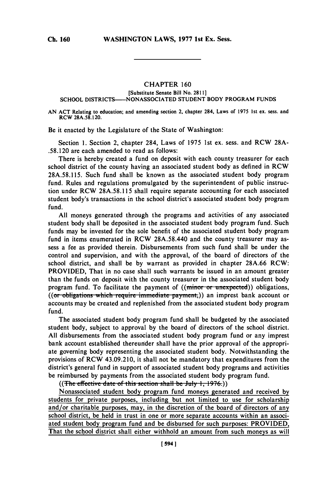## **CHAPTER 160**

## **[Substitute Senate Bill No. 2811]** SCHOOL DISTRICTS---- NONASSOCIATED STUDENT BODY PROGRAM FUNDS

**AN ACT Relating to education; and amending section 2, chapter 284, Laws of 1975 1st ex. sess. and RCW 28A.58.120.**

Be it enacted **by** the Legislature of the State of Washington:

Section **1.** Section 2, chapter 284, Laws of *1975* 1st ex. sess. and RCW **28A- .58.120** are each amended to read as follows:

There is hereby created a fund on deposit with each county treasurer for each school district of the county having an associated student body as defined in RCW **28A.58.1 15.** Such fund shall be known as the associated student body program fund. Rules and regulations promulgated **by** the superintendent of public instruction under RCW **28A.58. 115** shall require separate accounting for each associated student body's transactions in the school district's associated student body program fund.

**All** moneys generated through the programs and activities of any associated student body shall be deposited in the associated student body program fund. Such funds may be invested for the sole benefit of the associated student body program fund in items enumerated in RCW 28A.58.440 and the county treasurer may assess a fee as provided therein. Disbursements from such fund shall be under the control and supervision, and with the approval, of the board of directors of the school district, and shall be **by** warrant as provided in chapter **28A.66** RCW: PROVIDED, That in no case shall such warrants be issued in an amount greater than the funds on deposit with the county treasurer in the associated student body program fund. To facilitate the payment of ((minor or unexpected)) obligations, ((or obligations which require immediate payment,)) an imprest bank account or accounts may be created and replenished from the associated student body program fund.

The associated student body program fund shall be budgeted **by** the associated student body, subject to approval **by** the board of directors of the school district. **All** disbursements from the associated student body program fund or any imprest bank account established thereunder shall have the prior approval of the appropriate governing body representing- the associated student body. Notwithstanding the provisions of RCW 43.09.2 10, it shall not be mandatory that expenditures from the district's general fund in support of associated student body programs and activities be reimbursed **by** payments from the associated student body program fund.

 $((The effective date of this section shall be July 1, 1976.))$ 

Nonassociated student body program fund moneys generated and received **by** students for private purposes, including but not limited to use for scholarship and/or charitable purposes, may, in the discretion of the board of directors of any school district, be held in trust in one or more separate accounts within an associated student body program fund and be disbursed for such purposes: PROVIDED, That the school district shall either withhold an amount from such moneys as will